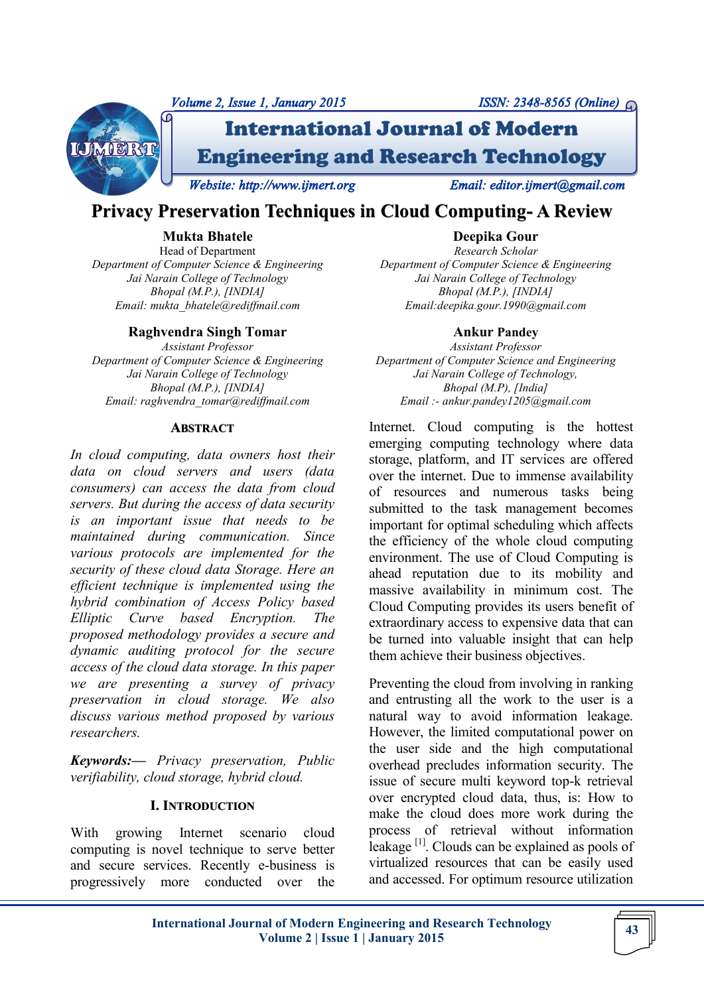

# **Privacy Preservation Techniques in Cloud Computing- A Review**

### **Mukta Bhatele**

Head of Department *Department of Computer Science & Engineering Jai Narain College of Technology Bhopal (M.P.), [INDIA] Email: mukta\_bhatele@rediffmail.com*

#### **Raghvendra Singh Tomar**

*Assistant Professor Department of Computer Science & Engineering Jai Narain College of Technology Bhopal (M.P.), [INDIA] Email: raghvendra\_tomar@rediffmail.com*

#### **ABSTRACT**

*In cloud computing, data owners host their data on cloud servers and users (data consumers) can access the data from cloud servers. But during the access of data security is an important issue that needs to be maintained during communication. Since various protocols are implemented for the security of these cloud data Storage. Here an efficient technique is implemented using the hybrid combination of Access Policy based Elliptic Curve based Encryption. The proposed methodology provides a secure and dynamic auditing protocol for the secure access of the cloud data storage. In this paper we are presenting a survey of privacy preservation in cloud storage. We also discuss various method proposed by various researchers.* 

*Keywords:— Privacy preservation, Public verifiability, cloud storage, hybrid cloud.*

#### **I. INTRODUCTION**

With growing Internet scenario cloud computing is novel technique to serve better and secure services. Recently e-business is progressively more conducted over the

**Deepika Gour** *Research Scholar Department of Computer Science & Engineering Jai Narain College of Technology Bhopal (M.P.), [INDIA] Email:deepika.gour.1990@gmail.com*

#### **Ankur Pandey**

*Assistant Professor Department of Computer Science and Engineering Jai Narain College of Technology, Bhopal (M.P), [India] Email :- ankur.pandey1205@gmail.com*

Internet. Cloud computing is the hottest emerging computing technology where data storage, platform, and IT services are offered over the internet. Due to immense availability of resources and numerous tasks being submitted to the task management becomes important for optimal scheduling which affects the efficiency of the whole cloud computing environment. The use of Cloud Computing is ahead reputation due to its mobility and massive availability in minimum cost. The Cloud Computing provides its users benefit of extraordinary access to expensive data that can be turned into valuable insight that can help them achieve their business objectives.

Preventing the cloud from involving in ranking and entrusting all the work to the user is a natural way to avoid information leakage. However, the limited computational power on the user side and the high computational overhead precludes information security. The issue of secure multi keyword top-k retrieval over encrypted cloud data, thus, is: How to make the cloud does more work during the process of retrieval without information leakage  $\left[1\right]$ . Clouds can be explained as pools of virtualized resources that can be easily used and accessed. For optimum resource utilization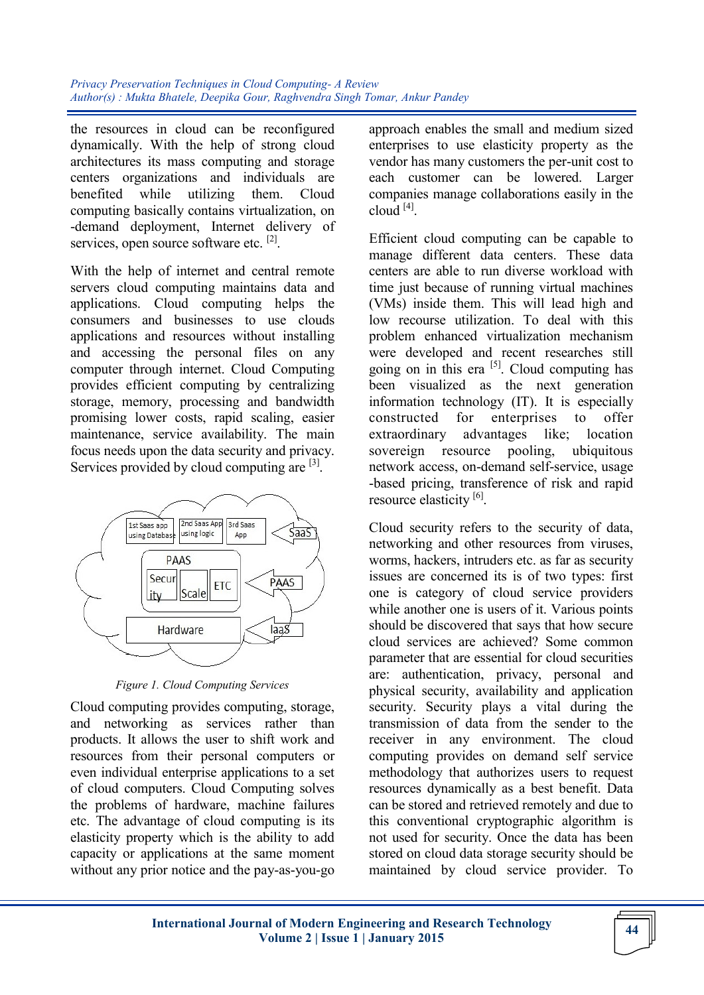the resources in cloud can be reconfigured dynamically. With the help of strong cloud architectures its mass computing and storage centers organizations and individuals are benefited while utilizing them. Cloud computing basically contains virtualization, on -demand deployment, Internet delivery of services, open source software etc. <sup>[2]</sup>.

With the help of internet and central remote servers cloud computing maintains data and applications. Cloud computing helps the consumers and businesses to use clouds applications and resources without installing and accessing the personal files on any computer through internet. Cloud Computing provides efficient computing by centralizing storage, memory, processing and bandwidth promising lower costs, rapid scaling, easier maintenance, service availability. The main focus needs upon the data security and privacy. Services provided by cloud computing are <sup>[3]</sup>.



*Figure 1. Cloud Computing Services*

Cloud computing provides computing, storage, and networking as services rather than products. It allows the user to shift work and resources from their personal computers or even individual enterprise applications to a set of cloud computers. Cloud Computing solves the problems of hardware, machine failures etc. The advantage of cloud computing is its elasticity property which is the ability to add capacity or applications at the same moment without any prior notice and the pay-as-you-go

approach enables the small and medium sized enterprises to use elasticity property as the vendor has many customers the per-unit cost to each customer can be lowered. Larger companies manage collaborations easily in the  $cloud<sup>[4]</sup>$ .

Efficient cloud computing can be capable to manage different data centers. These data centers are able to run diverse workload with time just because of running virtual machines (VMs) inside them. This will lead high and low recourse utilization. To deal with this problem enhanced virtualization mechanism were developed and recent researches still going on in this era  $[5]$ . Cloud computing has been visualized as the next generation information technology (IT). It is especially constructed for enterprises to offer extraordinary advantages like; location sovereign resource pooling, ubiquitous network access, on-demand self-service, usage -based pricing, transference of risk and rapid resource elasticity<sup>[6]</sup>.

Cloud security refers to the security of data, networking and other resources from viruses, worms, hackers, intruders etc. as far as security issues are concerned its is of two types: first one is category of cloud service providers while another one is users of it. Various points should be discovered that says that how secure cloud services are achieved? Some common parameter that are essential for cloud securities are: authentication, privacy, personal and physical security, availability and application security. Security plays a vital during the transmission of data from the sender to the receiver in any environment. The cloud computing provides on demand self service methodology that authorizes users to request resources dynamically as a best benefit. Data can be stored and retrieved remotely and due to this conventional cryptographic algorithm is not used for security. Once the data has been stored on cloud data storage security should be maintained by cloud service provider. To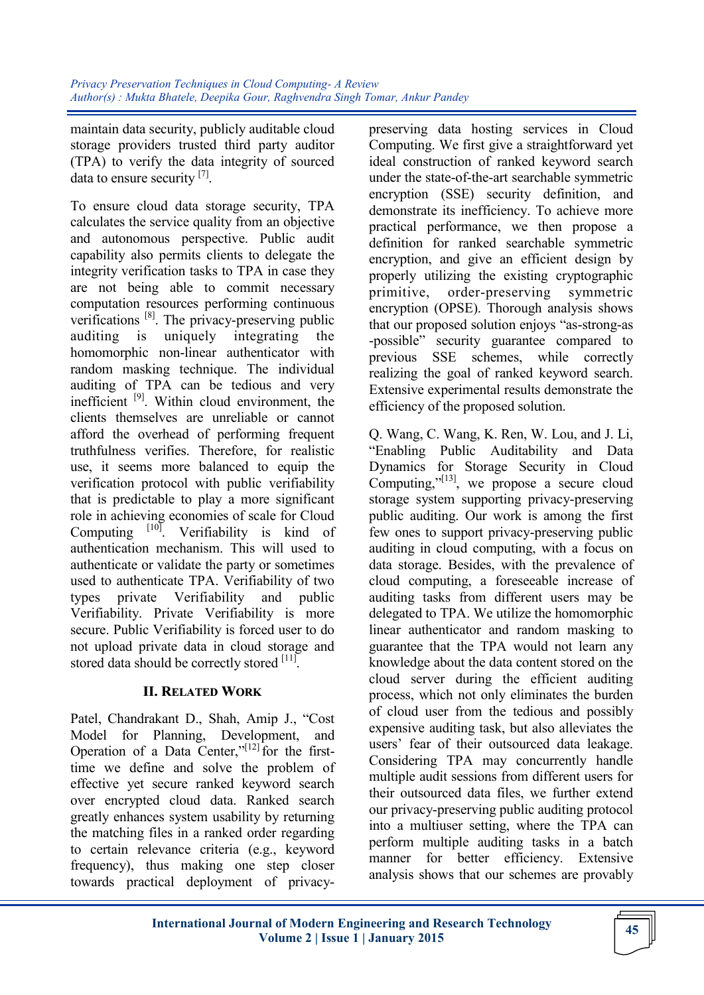maintain data security, publicly auditable cloud storage providers trusted third party auditor (TPA) to verify the data integrity of sourced data to ensure security [7].

To ensure cloud data storage security, TPA calculates the service quality from an objective and autonomous perspective. Public audit capability also permits clients to delegate the integrity verification tasks to TPA in case they are not being able to commit necessary computation resources performing continuous verifications [8]. The privacy-preserving public auditing is uniquely integrating the homomorphic non-linear authenticator with random masking technique. The individual auditing of TPA can be tedious and very inefficient <sup>[9]</sup>. Within cloud environment, the clients themselves are unreliable or cannot afford the overhead of performing frequent truthfulness verifies. Therefore, for realistic use, it seems more balanced to equip the verification protocol with public verifiability that is predictable to play a more significant role in achieving economies of scale for Cloud Computing  $[10]$ . Verifiability is kind of authentication mechanism. This will used to authenticate or validate the party or sometimes used to authenticate TPA. Verifiability of two types private Verifiability and public Verifiability. Private Verifiability is more secure. Public Verifiability is forced user to do not upload private data in cloud storage and stored data should be correctly stored [11].

## **II. RELATED WORK**

Patel, Chandrakant D., Shah, Amip J., "Cost Model for Planning, Development, and Operation of a Data Center," $[12]$  for the firsttime we define and solve the problem of effective yet secure ranked keyword search over encrypted cloud data. Ranked search greatly enhances system usability by returning the matching files in a ranked order regarding to certain relevance criteria (e.g., keyword frequency), thus making one step closer towards practical deployment of privacypreserving data hosting services in Cloud Computing. We first give a straightforward yet ideal construction of ranked keyword search under the state-of-the-art searchable symmetric encryption (SSE) security definition, and demonstrate its inefficiency. To achieve more practical performance, we then propose a definition for ranked searchable symmetric encryption, and give an efficient design by properly utilizing the existing cryptographic primitive, order-preserving symmetric encryption (OPSE). Thorough analysis shows that our proposed solution enjoys "as-strong-as -possible" security guarantee compared to previous SSE schemes, while correctly realizing the goal of ranked keyword search. Extensive experimental results demonstrate the efficiency of the proposed solution.

Q. Wang, C. Wang, K. Ren, W. Lou, and J. Li, ―Enabling Public Auditability and Data Dynamics for Storage Security in Cloud Computing," $[13]$ , we propose a secure cloud storage system supporting privacy-preserving public auditing. Our work is among the first few ones to support privacy-preserving public auditing in cloud computing, with a focus on data storage. Besides, with the prevalence of cloud computing, a foreseeable increase of auditing tasks from different users may be delegated to TPA. We utilize the homomorphic linear authenticator and random masking to guarantee that the TPA would not learn any knowledge about the data content stored on the cloud server during the efficient auditing process, which not only eliminates the burden of cloud user from the tedious and possibly expensive auditing task, but also alleviates the users' fear of their outsourced data leakage. Considering TPA may concurrently handle multiple audit sessions from different users for their outsourced data files, we further extend our privacy-preserving public auditing protocol into a multiuser setting, where the TPA can perform multiple auditing tasks in a batch manner for better efficiency. Extensive analysis shows that our schemes are provably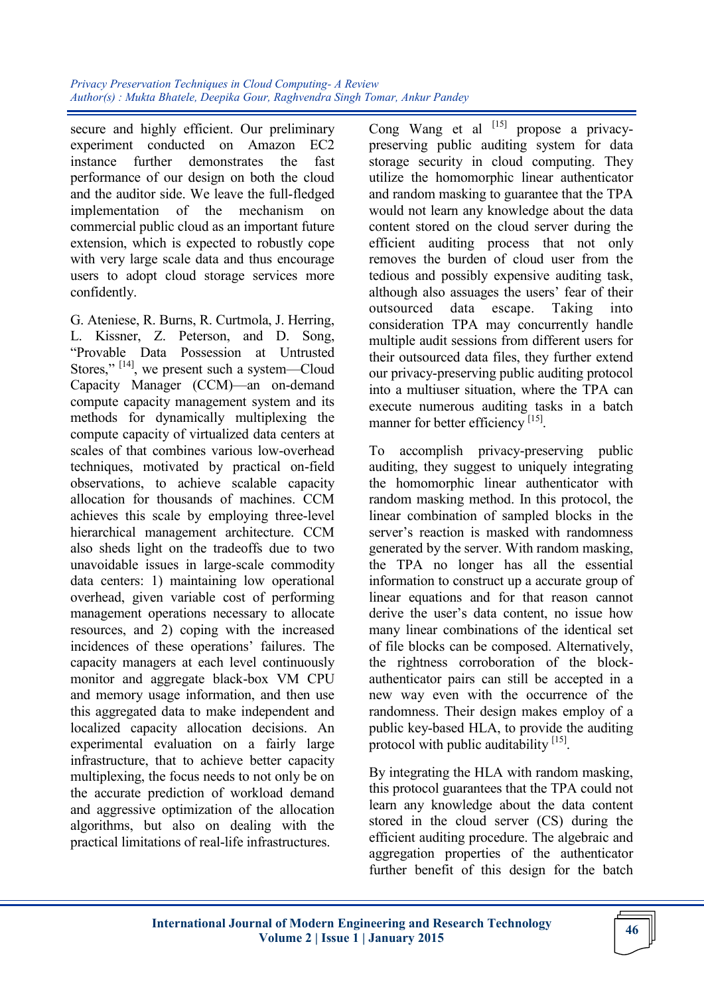secure and highly efficient. Our preliminary experiment conducted on Amazon EC2 instance further demonstrates the fast performance of our design on both the cloud and the auditor side. We leave the full-fledged implementation of the mechanism on commercial public cloud as an important future extension, which is expected to robustly cope with very large scale data and thus encourage users to adopt cloud storage services more confidently.

G. Ateniese, R. Burns, R. Curtmola, J. Herring, L. Kissner, Z. Peterson, and D. Song, ―Provable Data Possession at Untrusted Stores,"<sup>[14]</sup>, we present such a system—Cloud Capacity Manager (CCM)—an on-demand compute capacity management system and its methods for dynamically multiplexing the compute capacity of virtualized data centers at scales of that combines various low-overhead techniques, motivated by practical on-field observations, to achieve scalable capacity allocation for thousands of machines. CCM achieves this scale by employing three-level hierarchical management architecture. CCM also sheds light on the tradeoffs due to two unavoidable issues in large-scale commodity data centers: 1) maintaining low operational overhead, given variable cost of performing management operations necessary to allocate resources, and 2) coping with the increased incidences of these operations' failures. The capacity managers at each level continuously monitor and aggregate black-box VM CPU and memory usage information, and then use this aggregated data to make independent and localized capacity allocation decisions. An experimental evaluation on a fairly large infrastructure, that to achieve better capacity multiplexing, the focus needs to not only be on the accurate prediction of workload demand and aggressive optimization of the allocation algorithms, but also on dealing with the practical limitations of real-life infrastructures.

Cong Wang et al  $^{[15]}$  propose a privacypreserving public auditing system for data storage security in cloud computing. They utilize the homomorphic linear authenticator and random masking to guarantee that the TPA would not learn any knowledge about the data content stored on the cloud server during the efficient auditing process that not only removes the burden of cloud user from the tedious and possibly expensive auditing task, although also assuages the users' fear of their outsourced data escape. Taking into consideration TPA may concurrently handle multiple audit sessions from different users for their outsourced data files, they further extend our privacy-preserving public auditing protocol into a multiuser situation, where the TPA can execute numerous auditing tasks in a batch manner for better efficiency<sup>[15]</sup>.

To accomplish privacy-preserving public auditing, they suggest to uniquely integrating the homomorphic linear authenticator with random masking method. In this protocol, the linear combination of sampled blocks in the server's reaction is masked with randomness generated by the server. With random masking, the TPA no longer has all the essential information to construct up a accurate group of linear equations and for that reason cannot derive the user's data content, no issue how many linear combinations of the identical set of file blocks can be composed. Alternatively, the rightness corroboration of the blockauthenticator pairs can still be accepted in a new way even with the occurrence of the randomness. Their design makes employ of a public key-based HLA, to provide the auditing protocol with public auditability [15].

By integrating the HLA with random masking, this protocol guarantees that the TPA could not learn any knowledge about the data content stored in the cloud server (CS) during the efficient auditing procedure. The algebraic and aggregation properties of the authenticator further benefit of this design for the batch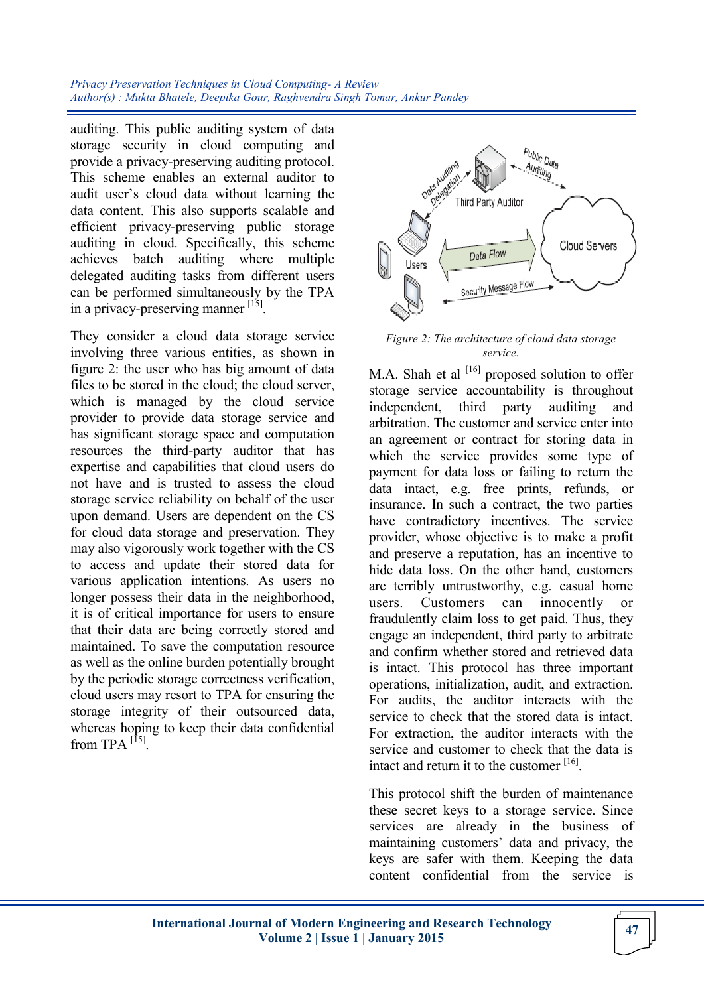*Privacy Preservation Techniques in Cloud Computing- A Review Author(s) : Mukta Bhatele, Deepika Gour, Raghvendra Singh Tomar, Ankur Pandey*

auditing. This public auditing system of data storage security in cloud computing and provide a privacy-preserving auditing protocol. This scheme enables an external auditor to audit user's cloud data without learning the data content. This also supports scalable and efficient privacy-preserving public storage auditing in cloud. Specifically, this scheme achieves batch auditing where multiple delegated auditing tasks from different users can be performed simultaneously by the TPA in a privacy-preserving manner [15].

They consider a cloud data storage service involving three various entities, as shown in figure 2: the user who has big amount of data files to be stored in the cloud; the cloud server, which is managed by the cloud service provider to provide data storage service and has significant storage space and computation resources the third-party auditor that has expertise and capabilities that cloud users do not have and is trusted to assess the cloud storage service reliability on behalf of the user upon demand. Users are dependent on the CS for cloud data storage and preservation. They may also vigorously work together with the CS to access and update their stored data for various application intentions. As users no longer possess their data in the neighborhood, it is of critical importance for users to ensure that their data are being correctly stored and maintained. To save the computation resource as well as the online burden potentially brought by the periodic storage correctness verification, cloud users may resort to TPA for ensuring the storage integrity of their outsourced data, whereas hoping to keep their data confidential from TPA  $^{[15]}$ .



*Figure 2: The architecture of cloud data storage service.*

M.A. Shah et al  $[16]$  proposed solution to offer storage service accountability is throughout independent, third party auditing and arbitration. The customer and service enter into an agreement or contract for storing data in which the service provides some type of payment for data loss or failing to return the data intact, e.g. free prints, refunds, or insurance. In such a contract, the two parties have contradictory incentives. The service provider, whose objective is to make a profit and preserve a reputation, has an incentive to hide data loss. On the other hand, customers are terribly untrustworthy, e.g. casual home users. Customers can innocently or fraudulently claim loss to get paid. Thus, they engage an independent, third party to arbitrate and confirm whether stored and retrieved data is intact. This protocol has three important operations, initialization, audit, and extraction. For audits, the auditor interacts with the service to check that the stored data is intact. For extraction, the auditor interacts with the service and customer to check that the data is intact and return it to the customer [16].

This protocol shift the burden of maintenance these secret keys to a storage service. Since services are already in the business of maintaining customers' data and privacy, the keys are safer with them. Keeping the data content confidential from the service is

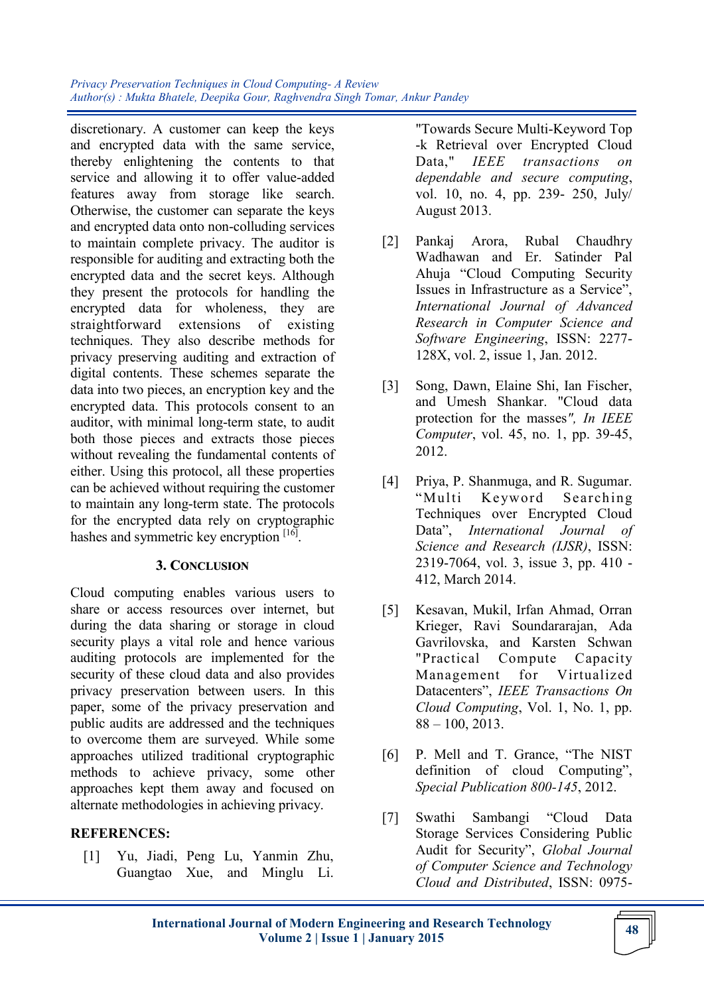*Privacy Preservation Techniques in Cloud Computing- A Review Author(s) : Mukta Bhatele, Deepika Gour, Raghvendra Singh Tomar, Ankur Pandey*

discretionary. A customer can keep the keys and encrypted data with the same service, thereby enlightening the contents to that service and allowing it to offer value-added features away from storage like search. Otherwise, the customer can separate the keys and encrypted data onto non-colluding services to maintain complete privacy. The auditor is responsible for auditing and extracting both the encrypted data and the secret keys. Although they present the protocols for handling the encrypted data for wholeness, they are straightforward extensions of existing techniques. They also describe methods for privacy preserving auditing and extraction of digital contents. These schemes separate the data into two pieces, an encryption key and the encrypted data. This protocols consent to an auditor, with minimal long-term state, to audit both those pieces and extracts those pieces without revealing the fundamental contents of either. Using this protocol, all these properties can be achieved without requiring the customer to maintain any long-term state. The protocols for the encrypted data rely on cryptographic hashes and symmetric key encryption [16].

#### **3. CONCLUSION**

Cloud computing enables various users to share or access resources over internet, but during the data sharing or storage in cloud security plays a vital role and hence various auditing protocols are implemented for the security of these cloud data and also provides privacy preservation between users. In this paper, some of the privacy preservation and public audits are addressed and the techniques to overcome them are surveyed. While some approaches utilized traditional cryptographic methods to achieve privacy, some other approaches kept them away and focused on alternate methodologies in achieving privacy.

#### **REFERENCES:**

[1] Yu, Jiadi, Peng Lu, Yanmin Zhu, Guangtao Xue, and Minglu Li.

"Towards Secure Multi-Keyword Top -k Retrieval over Encrypted Cloud Data," *IEEE transactions on dependable and secure computing*, vol. 10, no. 4, pp. 239- 250, July/ August 2013.

- [2] Pankaj Arora, Rubal Chaudhry Wadhawan and Er. Satinder Pal Ahuja "Cloud Computing Security Issues in Infrastructure as a Service", *International Journal of Advanced Research in Computer Science and Software Engineering*, ISSN: 2277- 128X, vol. 2, issue 1, Jan. 2012.
- [3] Song, Dawn, Elaine Shi, Ian Fischer, and Umesh Shankar. "Cloud data protection for the masses*", In IEEE Computer*, vol. 45, no. 1, pp. 39-45, 2012.
- [4] Priya, P. Shanmuga, and R. Sugumar. "Multi Keyword Searching Techniques over Encrypted Cloud Data", *International Journal of Science and Research (IJSR)*, ISSN: 2319-7064, vol. 3, issue 3, pp. 410 - 412, March 2014.
- [5] Kesavan, Mukil, Irfan Ahmad, Orran Krieger, Ravi Soundararajan, Ada Gavrilovska, and Karsten Schwan "Practical Compute Capacity Management for Virtualized Datacenters‖, *IEEE Transactions On Cloud Computing*, Vol. 1, No. 1, pp.  $88 - 100, 2013.$
- [6] P. Mell and T. Grance, "The NIST definition of cloud Computing", *Special Publication 800-145*, 2012.
- [7] Swathi Sambangi "Cloud Data Storage Services Considering Public Audit for Security", *Global Journal of Computer Science and Technology Cloud and Distributed*, ISSN: 0975-